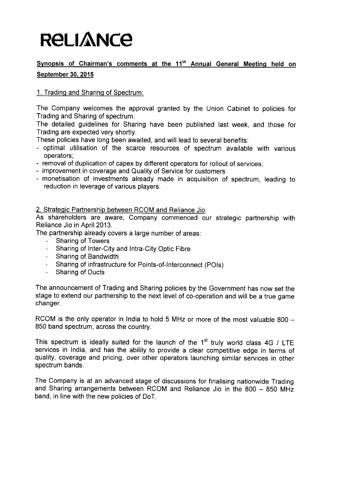# **RELIANCE**

### **Synopsis of Chairman**'**s comments at the 11th Annual General Meeting held on September 30, 2015**

### 1. Trading and Sharing of Spectrum:

The Company welcomes the approval granted by the Union Cabinet to policies for Trading and Sharing of spectrum.

The detailed guidelines for Sharing have been published last week, and those for Trading are expected very shortly.

These policies have long been awaited, and will lead to several benefits:

- optimal utilisation of the scarce resources of spectrum available with various operators;
- removal of duplication of capex by different operators for rollout of services;
- improvement in coverage and Quality of Service for customers
- monetisation of investments already made in acquisition of spectrum, leading to reduction in leverage of various players.

2. Strategic Partnership between RCOM and Reliance Jio:

As shareholders are aware, Company commenced our strategic partnership with Reliance Jio in April 2013.

The partnership already covers a large number of areas:

- Sharing of Towers
- Sharing of Inter-City and Intra-City Optic Fibre
- Sharing of Bandwidth
- Sharing of infrastructure for Points-of-Interconnect (POls)
- Sharing of Ducts

The announcement of Trading and Sharing policies by the Government has now set the stage to extend our partnership to the next level of co-operation and will be a true game changer.

RCOM is the only operator in India to hold 5 MHz or more of the most valuable 800  $-$ 850 band spectrum, across the country.

This spectrum is ideally suited for the launch of the  $1<sup>st</sup>$  truly world class 4G / LTE services in India, and has the ability to provide a clear competitive edge in terms of quality, coverage and pricing, over other operators launching similar services in other spectrum bands.

The Company is at an advanced stage of discussions for finalising nationwide Trading and Sharing arrangements between RCOM and Reliance Jio in the 800 - 850 MHz band, in line with the new policies of DoT.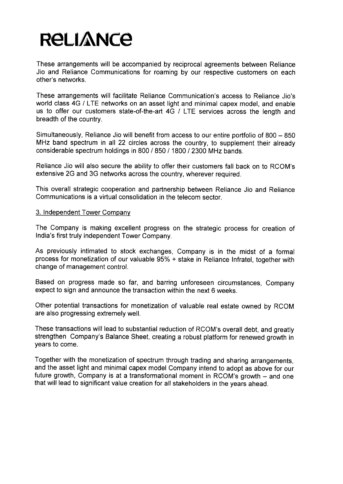# RELIANCE

These arrangements will be accompanied by reciprocal agreements between Reliance Jio and Reliance Communications for roaming by our respective customers on each other's networks.

These arrangements will facilitate Reliance Communication's access to Reliance Jio's world class 4G / LTE networks on an asset light and minimal capex model, and enable us to offer our customers state-of-the-art 4G / LTE services across the length and breadth of the country.

Simultaneously, Reliance Jio will benefit from access to our entire portfolio of 800 - 850 MHz band spectrum in all 22 circles across the country, to supplement their already considerable spectrum holdings in 800 / 850 / 1800 / 2300 MHz bands.

Reliance Jio will also secure the ability to offer their customers fall back on to RCOM's extensive 2G and 3G networks across the country, wherever required.

This overall strategic cooperation and partnership between Reliance Jio and Reliance Communications is a virtual consolidation in the telecom sector.

#### **3. Independent** Tower Company

The Company **is making excellent progress on the strategic** process for creation of **India's** first truly **independent** Tower Company.

As previously intimated to stock exchanges, Company is in the midst of a formal process for monetization of our valuable 95% + stake in Reliance Infratel, together with change of management control.

**Based on progress made so far, and barring unforeseen circumstances** , Company **expect to sign and announce the transaction within the next 6 weeks.**

Other potential transactions for monetization of valuable real estate owned by RCOM are also progressing extremely well.

These transactions will lead to substantial reduction of RCOM's overall debt, and greatly strengthen Company's Balance Sheet, creating a robust platform for renewed growth in years to come.

Together with the monetization of spectrum through trading and sharing arrangements, and the asset light and minimal capex model Company intend to adopt as above for our future growth, Company is at a transformational moment in RCOM's growth - and one that will lead to significant value creation for all stakeholders in the years ahead.